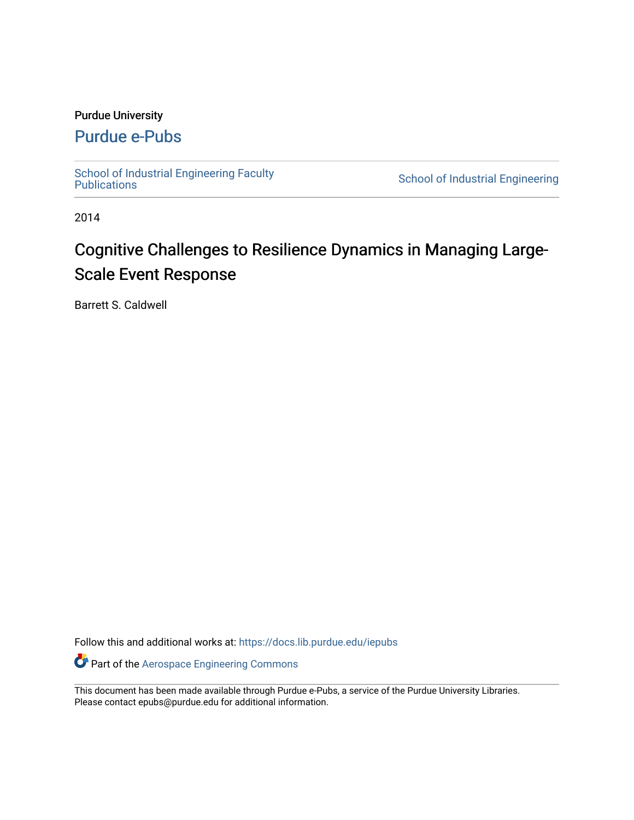### Purdue University

### [Purdue e-Pubs](https://docs.lib.purdue.edu/)

School of Industrial Engineering Faculty<br>Publications

School of Industrial Engineering

2014

### Cognitive Challenges to Resilience Dynamics in Managing Large-Scale Event Response

Barrett S. Caldwell

Follow this and additional works at: [https://docs.lib.purdue.edu/iepubs](https://docs.lib.purdue.edu/iepubs?utm_source=docs.lib.purdue.edu%2Fiepubs%2F2&utm_medium=PDF&utm_campaign=PDFCoverPages)

Part of the [Aerospace Engineering Commons](http://network.bepress.com/hgg/discipline/218?utm_source=docs.lib.purdue.edu%2Fiepubs%2F2&utm_medium=PDF&utm_campaign=PDFCoverPages)

This document has been made available through Purdue e-Pubs, a service of the Purdue University Libraries. Please contact epubs@purdue.edu for additional information.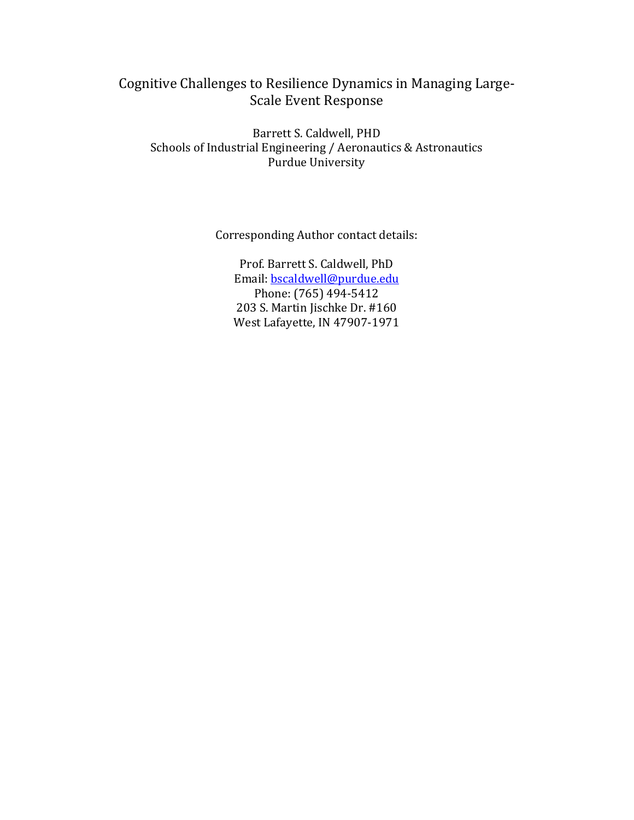### Cognitive Challenges to Resilience Dynamics in Managing Large-Scale Event Response

Barrett S. Caldwell, PHD Schools of Industrial Engineering / Aeronautics & Astronautics Purdue University

Corresponding Author contact details:

Prof. Barrett S. Caldwell, PhD Email[: bscaldwell@purdue.edu](mailto:bscaldwell@purdue.edu)  Phone: (765) 494-5412 203 S. Martin Jischke Dr. #160 West Lafayette, IN 47907-1971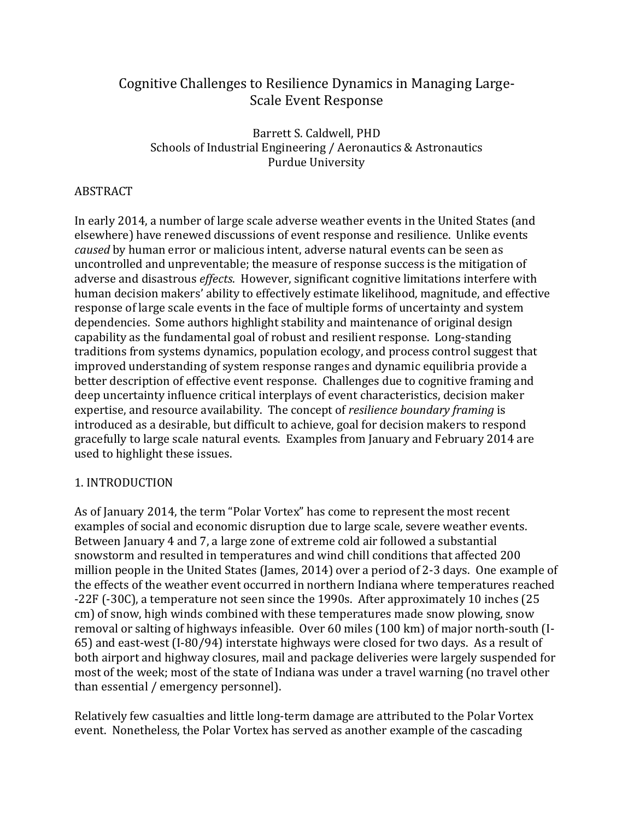### Cognitive Challenges to Resilience Dynamics in Managing Large-Scale Event Response

### Barrett S. Caldwell, PHD Schools of Industrial Engineering / Aeronautics & Astronautics Purdue University

### ABSTRACT

 dependencies. Some authors highlight stability and maintenance of original design capability as the fundamental goal of robust and resilient response. Long-standing better description of effective event response. Challenges due to cognitive framing and used to highlight these issues.<br>1. INTRODUCTION In early 2014, a number of large scale adverse weather events in the United States (and elsewhere) have renewed discussions of event response and resilience. Unlike events *caused* by human error or malicious intent, adverse natural events can be seen as uncontrolled and unpreventable; the measure of response success is the mitigation of adverse and disastrous *effects*. However, significant cognitive limitations interfere with human decision makers' ability to effectively estimate likelihood, magnitude, and effective response of large scale events in the face of multiple forms of uncertainty and system traditions from systems dynamics, population ecology, and process control suggest that improved understanding of system response ranges and dynamic equilibria provide a deep uncertainty influence critical interplays of event characteristics, decision maker expertise, and resource availability. The concept of *resilience boundary framing* is introduced as a desirable, but difficult to achieve, goal for decision makers to respond gracefully to large scale natural events. Examples from January and February 2014 are

examples of social and economic disruption due to large scale, severe weather events. removal or salting of highways infeasible. Over 60 miles (100 km) of major north-south (I- 65) and east-west (I-80/94) interstate highways were closed for two days. As a result of both airport and highway closures, mail and package deliveries were largely suspended for than essential / emergency personnel). As of January 2014, the term "Polar Vortex" has come to represent the most recent Between January 4 and 7, a large zone of extreme cold air followed a substantial snowstorm and resulted in temperatures and wind chill conditions that affected 200 million people in the United States (James, 2014) over a period of 2-3 days. One example of the effects of the weather event occurred in northern Indiana where temperatures reached -22F (-30C), a temperature not seen since the 1990s. After approximately 10 inches (25 cm) of snow, high winds combined with these temperatures made snow plowing, snow most of the week; most of the state of Indiana was under a travel warning (no travel other

Relatively few casualties and little long-term damage are attributed to the Polar Vortex event. Nonetheless, the Polar Vortex has served as another example of the cascading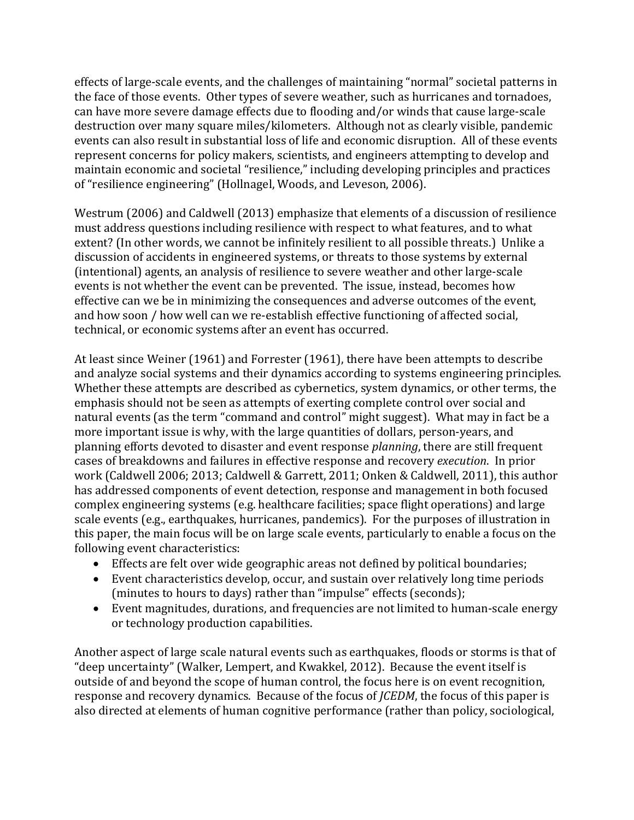the face of those events. Other types of severe weather, such as hurricanes and tornadoes, effects of large-scale events, and the challenges of maintaining "normal" societal patterns in can have more severe damage effects due to flooding and/or winds that cause large-scale destruction over many square miles/kilometers. Although not as clearly visible, pandemic events can also result in substantial loss of life and economic disruption. All of these events represent concerns for policy makers, scientists, and engineers attempting to develop and maintain economic and societal "resilience," including developing principles and practices of "resilience engineering" (Hollnagel, Woods, and Leveson, 2006).

 extent? (In other words, we cannot be infinitely resilient to all possible threats.) Unlike a technical, or economic systems after an event has occurred. Westrum (2006) and Caldwell (2013) emphasize that elements of a discussion of resilience must address questions including resilience with respect to what features, and to what discussion of accidents in engineered systems, or threats to those systems by external (intentional) agents, an analysis of resilience to severe weather and other large-scale events is not whether the event can be prevented. The issue, instead, becomes how effective can we be in minimizing the consequences and adverse outcomes of the event, and how soon / how well can we re-establish effective functioning of affected social,

and analyze social systems and their dynamics according to systems engineering principles. At least since Weiner (1961) and Forrester (1961), there have been attempts to describe Whether these attempts are described as cybernetics, system dynamics, or other terms, the emphasis should not be seen as attempts of exerting complete control over social and natural events (as the term "command and control" might suggest). What may in fact be a more important issue is why, with the large quantities of dollars, person-years, and planning efforts devoted to disaster and event response *planning*, there are still frequent cases of breakdowns and failures in effective response and recovery *execution*. In prior work (Caldwell 2006; 2013; Caldwell & Garrett, 2011; Onken & Caldwell, 2011), this author has addressed components of event detection, response and management in both focused complex engineering systems (e.g. healthcare facilities; space flight operations) and large scale events (e.g., earthquakes, hurricanes, pandemics). For the purposes of illustration in this paper, the main focus will be on large scale events, particularly to enable a focus on the following event characteristics:

- Effects are felt over wide geographic areas not defined by political boundaries;
- Event characteristics develop, occur, and sustain over relatively long time periods (minutes to hours to days) rather than "impulse" effects (seconds);
- Event magnitudes, durations, and frequencies are not limited to human-scale energy or technology production capabilities.

 "deep uncertainty" (Walker, Lempert, and Kwakkel, 2012). Because the event itself is Another aspect of large scale natural events such as earthquakes, floods or storms is that of outside of and beyond the scope of human control, the focus here is on event recognition, response and recovery dynamics. Because of the focus of *JCEDM*, the focus of this paper is also directed at elements of human cognitive performance (rather than policy, sociological,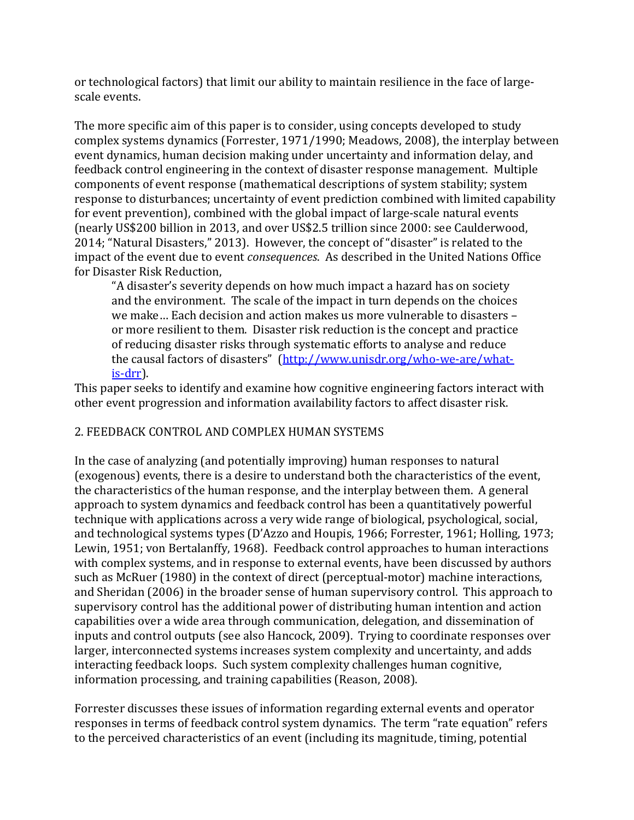or technological factors) that limit our ability to maintain resilience in the face of largescale events.

 feedback control engineering in the context of disaster response management. Multiple 2014; "Natural Disasters," 2013). However, the concept of "disaster" is related to the impact of the event due to event *consequences*. As described in the United Nations Office The more specific aim of this paper is to consider, using concepts developed to study complex systems dynamics (Forrester, 1971/1990; Meadows, 2008), the interplay between event dynamics, human decision making under uncertainty and information delay, and components of event response (mathematical descriptions of system stability; system response to disturbances; uncertainty of event prediction combined with limited capability for event prevention), combined with the global impact of large-scale natural events (nearly US\$200 billion in 2013, and over US\$2.5 trillion since 2000: see Caulderwood, for Disaster Risk Reduction,

 or more resilient to them. Disaster risk reduction is the concept and practice  $is-drr$ ). "A disaster's severity depends on how much impact a hazard has on society and the environment. The scale of the impact in turn depends on the choices we make… Each decision and action makes us more vulnerable to disasters – of reducing disaster risks through systematic efforts to analyse and reduce the causal factors of disasters" [\(http://www.unisdr.org/who-we-are/what-](http://www.unisdr.org/who-we-are/what-is-drr)

This paper seeks to identify and examine how cognitive engineering factors interact with

## other event progression and information availability factors to affect disaster risk.<br>2. FEEDBACK CONTROL AND COMPLEX HUMAN SYSTEMS

 inputs and control outputs (see also Hancock, 2009). Trying to coordinate responses over In the case of analyzing (and potentially improving) human responses to natural (exogenous) events, there is a desire to understand both the characteristics of the event, the characteristics of the human response, and the interplay between them. A general approach to system dynamics and feedback control has been a quantitatively powerful technique with applications across a very wide range of biological, psychological, social, and technological systems types (D'Azzo and Houpis, 1966; Forrester, 1961; Holling, 1973; Lewin, 1951; von Bertalanffy, 1968). Feedback control approaches to human interactions with complex systems, and in response to external events, have been discussed by authors such as McRuer (1980) in the context of direct (perceptual-motor) machine interactions, and Sheridan (2006) in the broader sense of human supervisory control. This approach to supervisory control has the additional power of distributing human intention and action capabilities over a wide area through communication, delegation, and dissemination of larger, interconnected systems increases system complexity and uncertainty, and adds interacting feedback loops. Such system complexity challenges human cognitive, information processing, and training capabilities (Reason, 2008).

Forrester discusses these issues of information regarding external events and operator responses in terms of feedback control system dynamics. The term "rate equation" refers to the perceived characteristics of an event (including its magnitude, timing, potential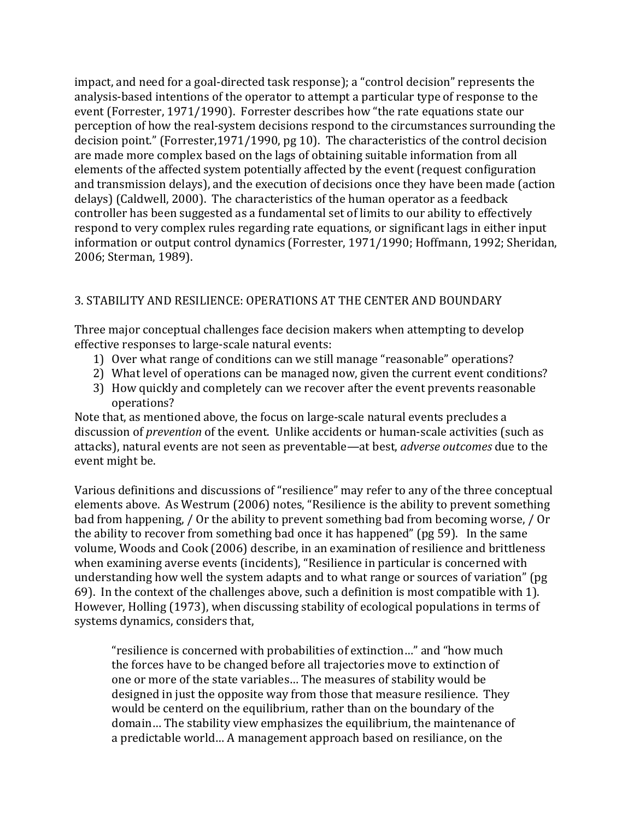decision point." (Forrester,1971/1990, pg 10). The characteristics of the control decision impact, and need for a goal-directed task response); a "control decision" represents the analysis-based intentions of the operator to attempt a particular type of response to the event (Forrester, 1971/1990). Forrester describes how "the rate equations state our perception of how the real-system decisions respond to the circumstances surrounding the are made more complex based on the lags of obtaining suitable information from all elements of the affected system potentially affected by the event (request configuration and transmission delays), and the execution of decisions once they have been made (action delays) (Caldwell, 2000). The characteristics of the human operator as a feedback controller has been suggested as a fundamental set of limits to our ability to effectively respond to very complex rules regarding rate equations, or significant lags in either input information or output control dynamics (Forrester, 1971/1990; Hoffmann, 1992; Sheridan, 2006; Sterman, 1989).

### 3. STABILITY AND RESILIENCE: OPERATIONS AT THE CENTER AND BOUNDARY

Three major conceptual challenges face decision makers when attempting to develop effective responses to large-scale natural events:

- 1) Over what range of conditions can we still manage "reasonable" operations?
- 2) What level of operations can be managed now, given the current event conditions?
- 3) How quickly and completely can we recover after the event prevents reasonable operations?

event might be. Note that, as mentioned above, the focus on large-scale natural events precludes a discussion of *prevention* of the event. Unlike accidents or human-scale activities (such as attacks), natural events are not seen as preventable—at best, *adverse outcomes* due to the

69). In the context of the challenges above, such a definition is most compatible with 1). Various definitions and discussions of "resilience" may refer to any of the three conceptual elements above. As Westrum (2006) notes, "Resilience is the ability to prevent something bad from happening, / Or the ability to prevent something bad from becoming worse, / Or the ability to recover from something bad once it has happened" (pg 59). In the same volume, Woods and Cook (2006) describe, in an examination of resilience and brittleness when examining averse events (incidents), "Resilience in particular is concerned with understanding how well the system adapts and to what range or sources of variation" (pg However, Holling (1973), when discussing stability of ecological populations in terms of systems dynamics, considers that,

 designed in just the opposite way from those that measure resilience. They "resilience is concerned with probabilities of extinction…" and "how much the forces have to be changed before all trajectories move to extinction of one or more of the state variables… The measures of stability would be would be centerd on the equilibrium, rather than on the boundary of the domain… The stability view emphasizes the equilibrium, the maintenance of a predictable world… A management approach based on resiliance, on the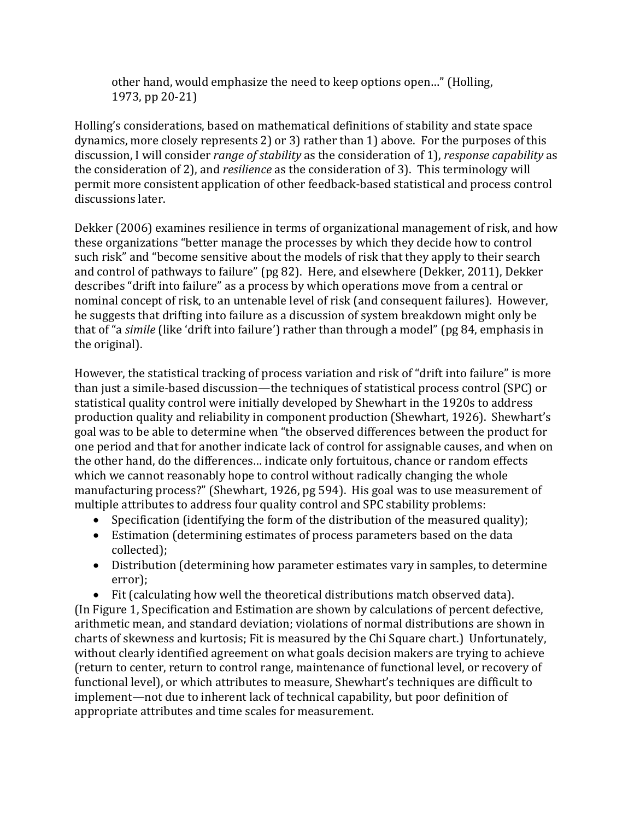other hand, would emphasize the need to keep options open…" (Holling, 1973, pp 20-21)

 the consideration of 2), and *resilience* as the consideration of 3). This terminology will Holling's considerations, based on mathematical definitions of stability and state space dynamics, more closely represents 2) or 3) rather than 1) above. For the purposes of this discussion, I will consider *range of stability* as the consideration of 1), *response capability* as permit more consistent application of other feedback-based statistical and process control discussions later.

the original). Dekker (2006) examines resilience in terms of organizational management of risk, and how these organizations "better manage the processes by which they decide how to control such risk" and "become sensitive about the models of risk that they apply to their search and control of pathways to failure" (pg 82). Here, and elsewhere (Dekker, 2011), Dekker describes "drift into failure" as a process by which operations move from a central or nominal concept of risk, to an untenable level of risk (and consequent failures). However, he suggests that drifting into failure as a discussion of system breakdown might only be that of "a *simile* (like 'drift into failure') rather than through a model" (pg 84, emphasis in

 statistical quality control were initially developed by Shewhart in the 1920s to address However, the statistical tracking of process variation and risk of "drift into failure" is more than just a simile-based discussion—the techniques of statistical process control (SPC) or production quality and reliability in component production (Shewhart, 1926). Shewhart's goal was to be able to determine when "the observed differences between the product for one period and that for another indicate lack of control for assignable causes, and when on the other hand, do the differences… indicate only fortuitous, chance or random effects which we cannot reasonably hope to control without radically changing the whole manufacturing process?" (Shewhart, 1926, pg 594). His goal was to use measurement of multiple attributes to address four quality control and SPC stability problems:

- Specification (identifying the form of the distribution of the measured quality);
- Estimation (determining estimates of process parameters based on the data collected);
- Distribution (determining how parameter estimates vary in samples, to determine error);
- Fit (calculating how well the theoretical distributions match observed data).

 charts of skewness and kurtosis; Fit is measured by the Chi Square chart.) Unfortunately, (In Figure 1, Specification and Estimation are shown by calculations of percent defective, arithmetic mean, and standard deviation; violations of normal distributions are shown in without clearly identified agreement on what goals decision makers are trying to achieve (return to center, return to control range, maintenance of functional level, or recovery of functional level), or which attributes to measure, Shewhart's techniques are difficult to implement—not due to inherent lack of technical capability, but poor definition of appropriate attributes and time scales for measurement.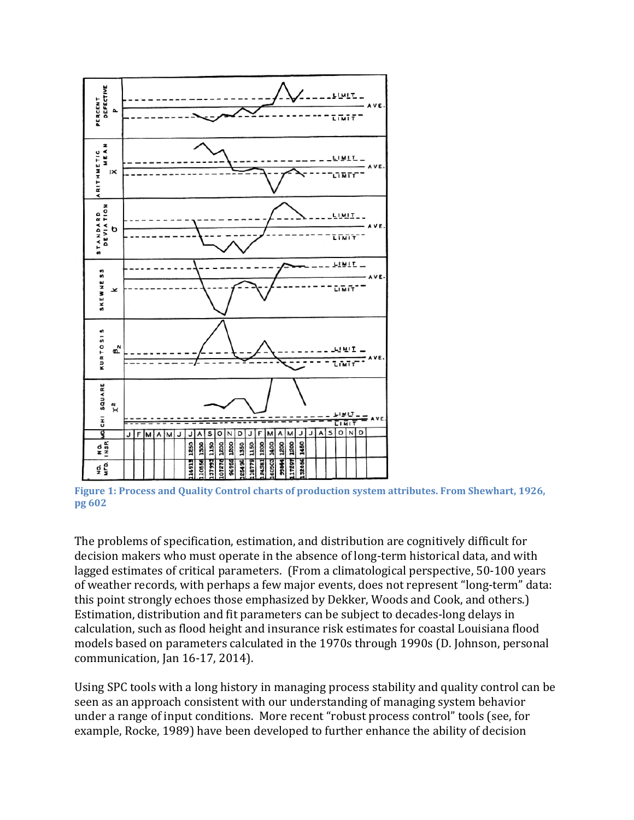

**Figure 1: Process and Quality Control charts of production system attributes. From Shewhart, 1926, pg 602** 

this point strongly echoes those emphasized by Dekker, Woods and Cook, and others.) communication, Jan 16-17, 2014). The problems of specification, estimation, and distribution are cognitively difficult for decision makers who must operate in the absence of long-term historical data, and with lagged estimates of critical parameters. (From a climatological perspective, 50-100 years of weather records, with perhaps a few major events, does not represent "long-term" data: Estimation, distribution and fit parameters can be subject to decades-long delays in calculation, such as flood height and insurance risk estimates for coastal Louisiana flood models based on parameters calculated in the 1970s through 1990s (D. Johnson, personal

Using SPC tools with a long history in managing process stability and quality control can be seen as an approach consistent with our understanding of managing system behavior under a range of input conditions. More recent "robust process control" tools (see, for example, Rocke, 1989) have been developed to further enhance the ability of decision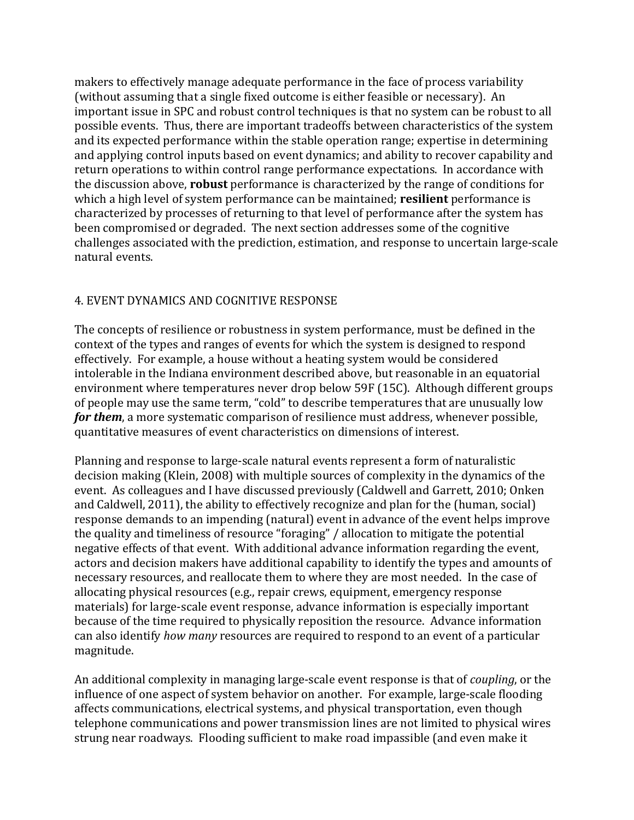makers to effectively manage adequate performance in the face of process variability (without assuming that a single fixed outcome is either feasible or necessary). An important issue in SPC and robust control techniques is that no system can be robust to all possible events. Thus, there are important tradeoffs between characteristics of the system and its expected performance within the stable operation range; expertise in determining and applying control inputs based on event dynamics; and ability to recover capability and return operations to within control range performance expectations. In accordance with the discussion above, **robust** performance is characterized by the range of conditions for which a high level of system performance can be maintained; **resilient** performance is characterized by processes of returning to that level of performance after the system has been compromised or degraded. The next section addresses some of the cognitive challenges associated with the prediction, estimation, and response to uncertain large-scale natural events.

### 4. EVENT DYNAMICS AND COGNITIVE RESPONSE

The concepts of resilience or robustness in system performance, must be defined in the context of the types and ranges of events for which the system is designed to respond effectively. For example, a house without a heating system would be considered intolerable in the Indiana environment described above, but reasonable in an equatorial environment where temperatures never drop below 59F (15C). Although different groups of people may use the same term, "cold" to describe temperatures that are unusually low *for them*, a more systematic comparison of resilience must address, whenever possible, quantitative measures of event characteristics on dimensions of interest.

 negative effects of that event. With additional advance information regarding the event, magnitude. Planning and response to large-scale natural events represent a form of naturalistic decision making (Klein, 2008) with multiple sources of complexity in the dynamics of the event. As colleagues and I have discussed previously (Caldwell and Garrett, 2010; Onken and Caldwell, 2011), the ability to effectively recognize and plan for the (human, social) response demands to an impending (natural) event in advance of the event helps improve the quality and timeliness of resource "foraging" / allocation to mitigate the potential actors and decision makers have additional capability to identify the types and amounts of necessary resources, and reallocate them to where they are most needed. In the case of allocating physical resources (e.g., repair crews, equipment, emergency response materials) for large-scale event response, advance information is especially important because of the time required to physically reposition the resource. Advance information can also identify *how many* resources are required to respond to an event of a particular

An additional complexity in managing large-scale event response is that of *coupling*, or the influence of one aspect of system behavior on another. For example, large-scale flooding affects communications, electrical systems, and physical transportation, even though telephone communications and power transmission lines are not limited to physical wires strung near roadways. Flooding sufficient to make road impassible (and even make it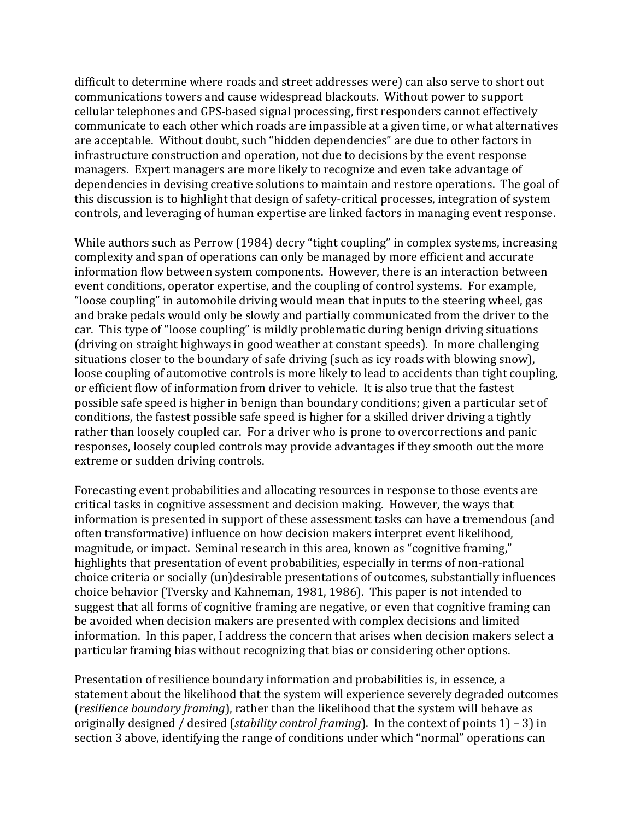are acceptable. Without doubt, such "hidden dependencies" are due to other factors in difficult to determine where roads and street addresses were) can also serve to short out communications towers and cause widespread blackouts. Without power to support cellular telephones and GPS-based signal processing, first responders cannot effectively communicate to each other which roads are impassible at a given time, or what alternatives infrastructure construction and operation, not due to decisions by the event response managers. Expert managers are more likely to recognize and even take advantage of dependencies in devising creative solutions to maintain and restore operations. The goal of this discussion is to highlight that design of safety-critical processes, integration of system controls, and leveraging of human expertise are linked factors in managing event response.

 information flow between system components. However, there is an interaction between event conditions, operator expertise, and the coupling of control systems. For example, extreme or sudden driving controls. While authors such as Perrow (1984) decry "tight coupling" in complex systems, increasing complexity and span of operations can only be managed by more efficient and accurate "loose coupling" in automobile driving would mean that inputs to the steering wheel, gas and brake pedals would only be slowly and partially communicated from the driver to the car. This type of "loose coupling" is mildly problematic during benign driving situations (driving on straight highways in good weather at constant speeds). In more challenging situations closer to the boundary of safe driving (such as icy roads with blowing snow), loose coupling of automotive controls is more likely to lead to accidents than tight coupling, or efficient flow of information from driver to vehicle. It is also true that the fastest possible safe speed is higher in benign than boundary conditions; given a particular set of conditions, the fastest possible safe speed is higher for a skilled driver driving a tightly rather than loosely coupled car. For a driver who is prone to overcorrections and panic responses, loosely coupled controls may provide advantages if they smooth out the more

 magnitude, or impact. Seminal research in this area, known as "cognitive framing," choice behavior (Tversky and Kahneman, 1981, 1986). This paper is not intended to Forecasting event probabilities and allocating resources in response to those events are critical tasks in cognitive assessment and decision making. However, the ways that information is presented in support of these assessment tasks can have a tremendous (and often transformative) influence on how decision makers interpret event likelihood, highlights that presentation of event probabilities, especially in terms of non-rational choice criteria or socially (un)desirable presentations of outcomes, substantially influences suggest that all forms of cognitive framing are negative, or even that cognitive framing can be avoided when decision makers are presented with complex decisions and limited information. In this paper, I address the concern that arises when decision makers select a particular framing bias without recognizing that bias or considering other options.

 originally designed / desired (*stability control framing*). In the context of points 1) – 3) in Presentation of resilience boundary information and probabilities is, in essence, a statement about the likelihood that the system will experience severely degraded outcomes (*resilience boundary framing*), rather than the likelihood that the system will behave as section 3 above, identifying the range of conditions under which "normal" operations can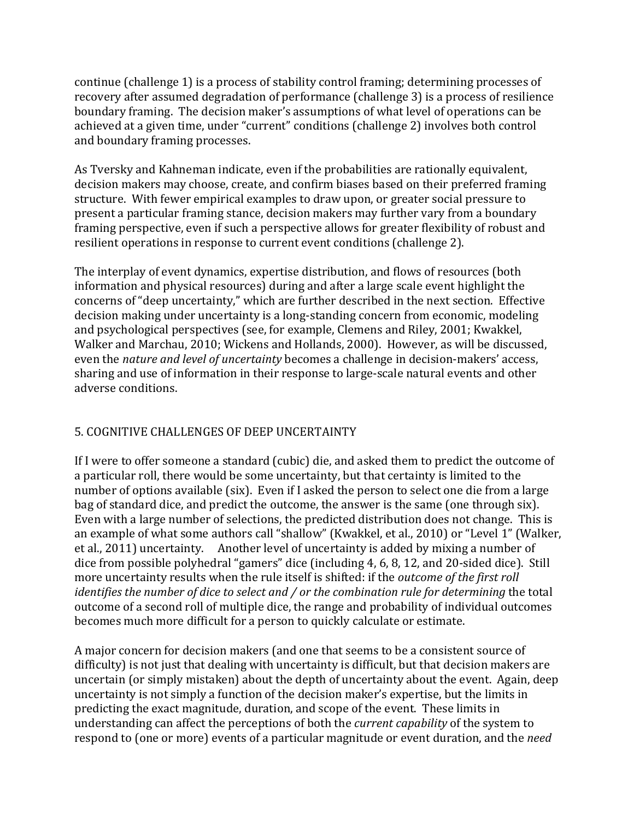and boundary framing processes. continue (challenge 1) is a process of stability control framing; determining processes of recovery after assumed degradation of performance (challenge 3) is a process of resilience boundary framing. The decision maker's assumptions of what level of operations can be achieved at a given time, under "current" conditions (challenge 2) involves both control

As Tversky and Kahneman indicate, even if the probabilities are rationally equivalent, decision makers may choose, create, and confirm biases based on their preferred framing structure. With fewer empirical examples to draw upon, or greater social pressure to present a particular framing stance, decision makers may further vary from a boundary framing perspective, even if such a perspective allows for greater flexibility of robust and resilient operations in response to current event conditions (challenge 2).

 and psychological perspectives (see, for example, Clemens and Riley, 2001; Kwakkel, Walker and Marchau, 2010; Wickens and Hollands, 2000). However, as will be discussed, The interplay of event dynamics, expertise distribution, and flows of resources (both information and physical resources) during and after a large scale event highlight the concerns of "deep uncertainty," which are further described in the next section. Effective decision making under uncertainty is a long-standing concern from economic, modeling even the *nature and level of uncertainty* becomes a challenge in decision-makers' access, sharing and use of information in their response to large-scale natural events and other adverse conditions.

### 5. COGNITIVE CHALLENGES OF DEEP UNCERTAINTY

 bag of standard dice, and predict the outcome, the answer is the same (one through six). et al., 2011) uncertainty. Another level of uncertainty is added by mixing a number of dice from possible polyhedral "gamers" dice (including 4, 6, 8, 12, and 20-sided dice). Still If I were to offer someone a standard (cubic) die, and asked them to predict the outcome of a particular roll, there would be some uncertainty, but that certainty is limited to the number of options available (six). Even if I asked the person to select one die from a large Even with a large number of selections, the predicted distribution does not change. This is an example of what some authors call "shallow" (Kwakkel, et al., 2010) or "Level 1" (Walker, more uncertainty results when the rule itself is shifted: if the *outcome of the first roll identifies the number of dice to select and / or the combination rule for determining the total* outcome of a second roll of multiple dice, the range and probability of individual outcomes becomes much more difficult for a person to quickly calculate or estimate.

 uncertain (or simply mistaken) about the depth of uncertainty about the event. Again, deep predicting the exact magnitude, duration, and scope of the event. These limits in A major concern for decision makers (and one that seems to be a consistent source of difficulty) is not just that dealing with uncertainty is difficult, but that decision makers are uncertainty is not simply a function of the decision maker's expertise, but the limits in understanding can affect the perceptions of both the *current capability* of the system to respond to (one or more) events of a particular magnitude or event duration, and the *need*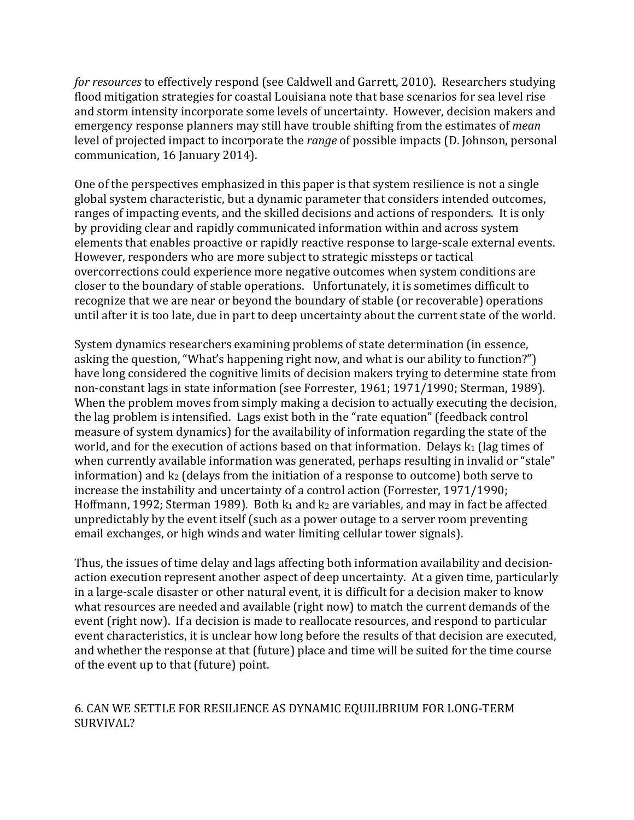level of projected impact to incorporate the *range* of possible impacts (D. Johnson, personal communication, 16 January 2014). *for resources* to effectively respond (see Caldwell and Garrett, 2010). Researchers studying flood mitigation strategies for coastal Louisiana note that base scenarios for sea level rise and storm intensity incorporate some levels of uncertainty. However, decision makers and emergency response planners may still have trouble shifting from the estimates of *mean* 

 ranges of impacting events, and the skilled decisions and actions of responders. It is only elements that enables proactive or rapidly reactive response to large-scale external events. closer to the boundary of stable operations. Unfortunately, it is sometimes difficult to One of the perspectives emphasized in this paper is that system resilience is not a single global system characteristic, but a dynamic parameter that considers intended outcomes, by providing clear and rapidly communicated information within and across system However, responders who are more subject to strategic missteps or tactical overcorrections could experience more negative outcomes when system conditions are recognize that we are near or beyond the boundary of stable (or recoverable) operations until after it is too late, due in part to deep uncertainty about the current state of the world.

 the lag problem is intensified. Lags exist both in the "rate equation" (feedback control information) and k2 (delays from the initiation of a response to outcome) both serve to Hoffmann, 1992; Sterman 1989). Both k<sub>1</sub> and k<sub>2</sub> are variables, and may in fact be affected System dynamics researchers examining problems of state determination (in essence, asking the question, "What's happening right now, and what is our ability to function?") have long considered the cognitive limits of decision makers trying to determine state from non-constant lags in state information (see Forrester, 1961; 1971/1990; Sterman, 1989). When the problem moves from simply making a decision to actually executing the decision, measure of system dynamics) for the availability of information regarding the state of the world, and for the execution of actions based on that information. Delays  $k_1$  (lag times of when currently available information was generated, perhaps resulting in invalid or "stale" increase the instability and uncertainty of a control action (Forrester, 1971/1990; unpredictably by the event itself (such as a power outage to a server room preventing email exchanges, or high winds and water limiting cellular tower signals).

Thus, the issues of time delay and lags affecting both information availability and decisionaction execution represent another aspect of deep uncertainty. At a given time, particularly in a large-scale disaster or other natural event, it is difficult for a decision maker to know what resources are needed and available (right now) to match the current demands of the event (right now). If a decision is made to reallocate resources, and respond to particular event characteristics, it is unclear how long before the results of that decision are executed, and whether the response at that (future) place and time will be suited for the time course of the event up to that (future) point.

### 6. CAN WE SETTLE FOR RESILIENCE AS DYNAMIC EQUILIBRIUM FOR LONG-TERM SURVIVAL?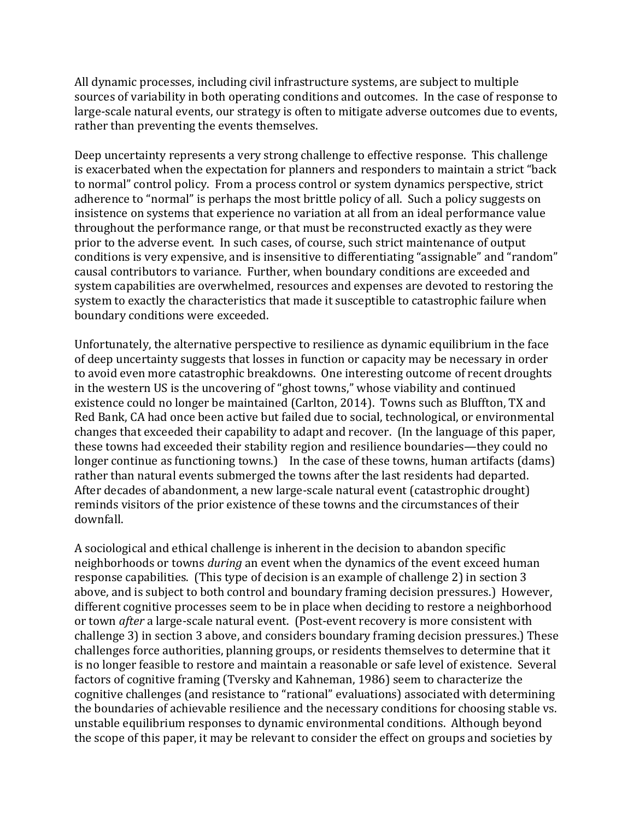rather than preventing the events themselves. All dynamic processes, including civil infrastructure systems, are subject to multiple sources of variability in both operating conditions and outcomes. In the case of response to large-scale natural events, our strategy is often to mitigate adverse outcomes due to events,

 to normal" control policy. From a process control or system dynamics perspective, strict Deep uncertainty represents a very strong challenge to effective response. This challenge is exacerbated when the expectation for planners and responders to maintain a strict "back adherence to "normal" is perhaps the most brittle policy of all. Such a policy suggests on insistence on systems that experience no variation at all from an ideal performance value throughout the performance range, or that must be reconstructed exactly as they were prior to the adverse event. In such cases, of course, such strict maintenance of output conditions is very expensive, and is insensitive to differentiating "assignable" and "random" causal contributors to variance. Further, when boundary conditions are exceeded and system capabilities are overwhelmed, resources and expenses are devoted to restoring the system to exactly the characteristics that made it susceptible to catastrophic failure when boundary conditions were exceeded.

 existence could no longer be maintained (Carlton, 2014). Towns such as Bluffton, TX and longer continue as functioning towns.) In the case of these towns, human artifacts (dams) rather than natural events submerged the towns after the last residents had departed. Unfortunately, the alternative perspective to resilience as dynamic equilibrium in the face of deep uncertainty suggests that losses in function or capacity may be necessary in order to avoid even more catastrophic breakdowns. One interesting outcome of recent droughts in the western US is the uncovering of "ghost towns," whose viability and continued Red Bank, CA had once been active but failed due to social, technological, or environmental changes that exceeded their capability to adapt and recover. (In the language of this paper, these towns had exceeded their stability region and resilience boundaries—they could no After decades of abandonment, a new large-scale natural event (catastrophic drought) reminds visitors of the prior existence of these towns and the circumstances of their downfall.

 above, and is subject to both control and boundary framing decision pressures.) However, is no longer feasible to restore and maintain a reasonable or safe level of existence. Several unstable equilibrium responses to dynamic environmental conditions. Although beyond A sociological and ethical challenge is inherent in the decision to abandon specific neighborhoods or towns *during* an event when the dynamics of the event exceed human response capabilities. (This type of decision is an example of challenge 2) in section 3 different cognitive processes seem to be in place when deciding to restore a neighborhood or town *after* a large-scale natural event. (Post-event recovery is more consistent with challenge 3) in section 3 above, and considers boundary framing decision pressures.) These challenges force authorities, planning groups, or residents themselves to determine that it factors of cognitive framing (Tversky and Kahneman, 1986) seem to characterize the cognitive challenges (and resistance to "rational" evaluations) associated with determining the boundaries of achievable resilience and the necessary conditions for choosing stable vs. the scope of this paper, it may be relevant to consider the effect on groups and societies by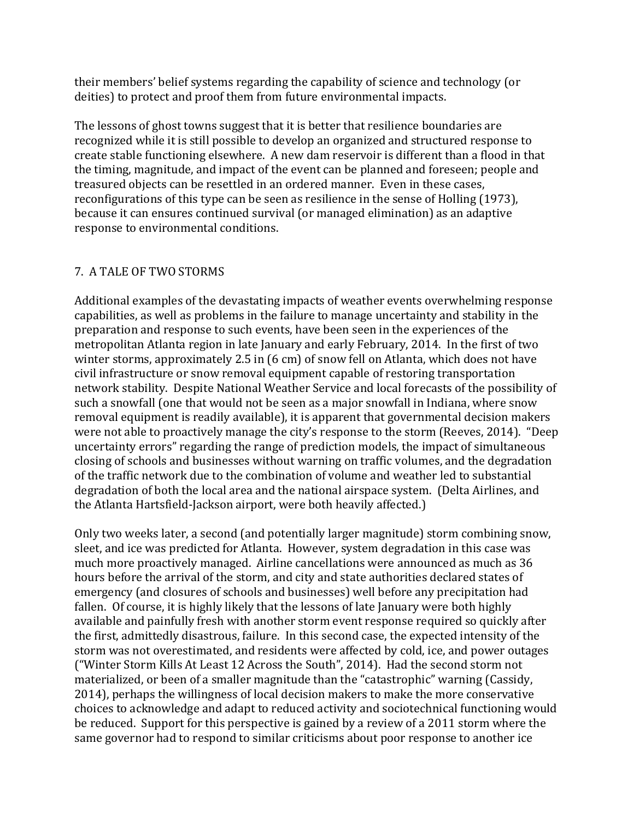their members' belief systems regarding the capability of science and technology (or deities) to protect and proof them from future environmental impacts.

The lessons of ghost towns suggest that it is better that resilience boundaries are recognized while it is still possible to develop an organized and structured response to create stable functioning elsewhere. A new dam reservoir is different than a flood in that the timing, magnitude, and impact of the event can be planned and foreseen; people and treasured objects can be resettled in an ordered manner. Even in these cases, reconfigurations of this type can be seen as resilience in the sense of Holling (1973), because it can ensures continued survival (or managed elimination) as an adaptive

# response to environmental conditions. 7. A TALE OF TWO STORMS

 were not able to proactively manage the city's response to the storm (Reeves, 2014). "Deep the Atlanta Hartsfield-Jackson airport, were both heavily affected.) Additional examples of the devastating impacts of weather events overwhelming response capabilities, as well as problems in the failure to manage uncertainty and stability in the preparation and response to such events, have been seen in the experiences of the metropolitan Atlanta region in late January and early February, 2014. In the first of two winter storms, approximately 2.5 in (6 cm) of snow fell on Atlanta, which does not have civil infrastructure or snow removal equipment capable of restoring transportation network stability. Despite National Weather Service and local forecasts of the possibility of such a snowfall (one that would not be seen as a major snowfall in Indiana, where snow removal equipment is readily available), it is apparent that governmental decision makers uncertainty errors" regarding the range of prediction models, the impact of simultaneous closing of schools and businesses without warning on traffic volumes, and the degradation of the traffic network due to the combination of volume and weather led to substantial degradation of both the local area and the national airspace system. (Delta Airlines, and

 the first, admittedly disastrous, failure. In this second case, the expected intensity of the ("Winter Storm Kills At Least 12 Across the South", 2014). Had the second storm not Only two weeks later, a second (and potentially larger magnitude) storm combining snow, sleet, and ice was predicted for Atlanta. However, system degradation in this case was much more proactively managed. Airline cancellations were announced as much as 36 hours before the arrival of the storm, and city and state authorities declared states of emergency (and closures of schools and businesses) well before any precipitation had fallen. Of course, it is highly likely that the lessons of late January were both highly available and painfully fresh with another storm event response required so quickly after storm was not overestimated, and residents were affected by cold, ice, and power outages materialized, or been of a smaller magnitude than the "catastrophic" warning (Cassidy, 2014), perhaps the willingness of local decision makers to make the more conservative choices to acknowledge and adapt to reduced activity and sociotechnical functioning would be reduced. Support for this perspective is gained by a review of a 2011 storm where the same governor had to respond to similar criticisms about poor response to another ice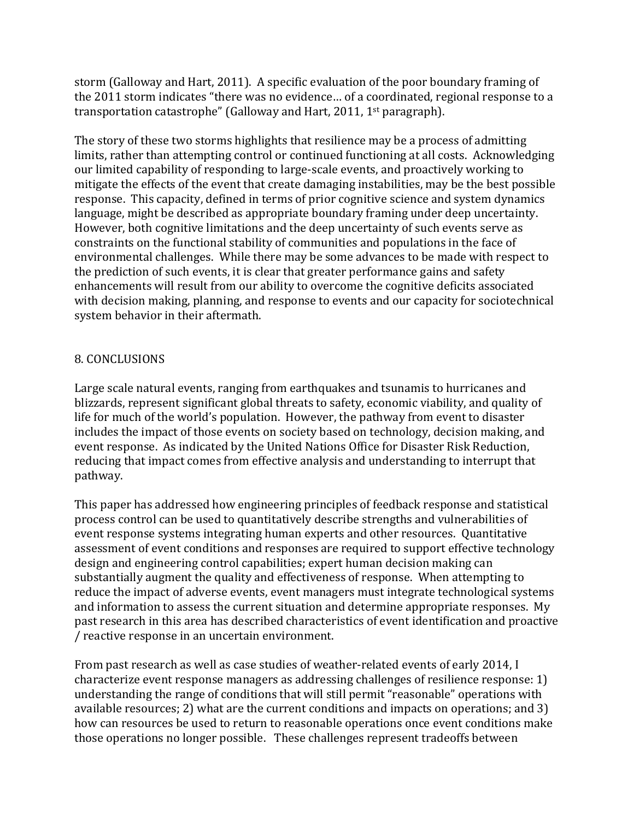storm (Galloway and Hart, 2011). A specific evaluation of the poor boundary framing of the 2011 storm indicates "there was no evidence… of a coordinated, regional response to a transportation catastrophe" (Galloway and Hart, 2011, 1st paragraph).

 response. This capacity, defined in terms of prior cognitive science and system dynamics language, might be described as appropriate boundary framing under deep uncertainty. The story of these two storms highlights that resilience may be a process of admitting limits, rather than attempting control or continued functioning at all costs. Acknowledging our limited capability of responding to large-scale events, and proactively working to mitigate the effects of the event that create damaging instabilities, may be the best possible However, both cognitive limitations and the deep uncertainty of such events serve as constraints on the functional stability of communities and populations in the face of environmental challenges. While there may be some advances to be made with respect to the prediction of such events, it is clear that greater performance gains and safety enhancements will result from our ability to overcome the cognitive deficits associated with decision making, planning, and response to events and our capacity for sociotechnical system behavior in their aftermath.

### 8. CONCLUSIONS

Large scale natural events, ranging from earthquakes and tsunamis to hurricanes and blizzards, represent significant global threats to safety, economic viability, and quality of life for much of the world's population. However, the pathway from event to disaster includes the impact of those events on society based on technology, decision making, and event response. As indicated by the United Nations Office for Disaster Risk Reduction, reducing that impact comes from effective analysis and understanding to interrupt that pathway.

This paper has addressed how engineering principles of feedback response and statistical process control can be used to quantitatively describe strengths and vulnerabilities of event response systems integrating human experts and other resources. Quantitative assessment of event conditions and responses are required to support effective technology design and engineering control capabilities; expert human decision making can substantially augment the quality and effectiveness of response. When attempting to reduce the impact of adverse events, event managers must integrate technological systems and information to assess the current situation and determine appropriate responses. My past research in this area has described characteristics of event identification and proactive / reactive response in an uncertain environment.

 those operations no longer possible. These challenges represent tradeoffs between From past research as well as case studies of weather-related events of early 2014, I characterize event response managers as addressing challenges of resilience response: 1) understanding the range of conditions that will still permit "reasonable" operations with available resources; 2) what are the current conditions and impacts on operations; and 3) how can resources be used to return to reasonable operations once event conditions make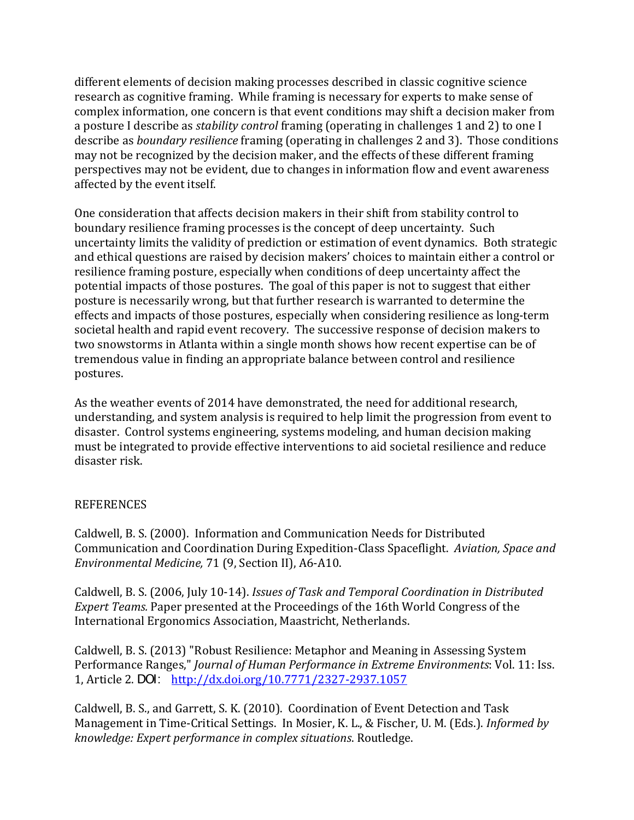complex information, one concern is that event conditions may shift a decision maker from affected by the event itself. different elements of decision making processes described in classic cognitive science research as cognitive framing. While framing is necessary for experts to make sense of a posture I describe as *stability control* framing (operating in challenges 1 and 2) to one I describe as *boundary resilience* framing (operating in challenges 2 and 3). Those conditions may not be recognized by the decision maker, and the effects of these different framing perspectives may not be evident, due to changes in information flow and event awareness

affected by the event itself.<br>One consideration that affects decision makers in their shift from stability control to uncertainty limits the validity of prediction or estimation of event dynamics. Both strategic postures. boundary resilience framing processes is the concept of deep uncertainty. Such and ethical questions are raised by decision makers' choices to maintain either a control or resilience framing posture, especially when conditions of deep uncertainty affect the potential impacts of those postures. The goal of this paper is not to suggest that either posture is necessarily wrong, but that further research is warranted to determine the effects and impacts of those postures, especially when considering resilience as long-term societal health and rapid event recovery. The successive response of decision makers to two snowstorms in Atlanta within a single month shows how recent expertise can be of tremendous value in finding an appropriate balance between control and resilience

As the weather events of 2014 have demonstrated, the need for additional research, understanding, and system analysis is required to help limit the progression from event to disaster. Control systems engineering, systems modeling, and human decision making must be integrated to provide effective interventions to aid societal resilience and reduce disaster risk.

### **REFERENCES**

 Communication and Coordination During Expedition-Class Spaceflight. *Aviation, Space and*  Caldwell, B. S. (2000). Information and Communication Needs for Distributed *Environmental Medicine,* 71 (9, Section II), A6-A10.

Caldwell, B. S. (2006, July 10-14). *Issues of Task and Temporal Coordination in Distributed Expert Teams.* Paper presented at the Proceedings of the 16th World Congress of the International Ergonomics Association, Maastricht, Netherlands.

Caldwell, B. S. (2013) "Robust Resilience: Metaphor and Meaning in Assessing System Performance Ranges," *Journal of Human Performance in Extreme Environments*: Vol. 11: Iss. 1, Article 2. DOI: <http://dx.doi.org/10.7771/2327-2937.1057>

 Management in Time-Critical Settings. In Mosier, K. L., & Fischer, U. M. (Eds.). *Informed by*  Caldwell, B. S., and Garrett, S. K. (2010). Coordination of Event Detection and Task *knowledge: Expert performance in complex situations*. Routledge.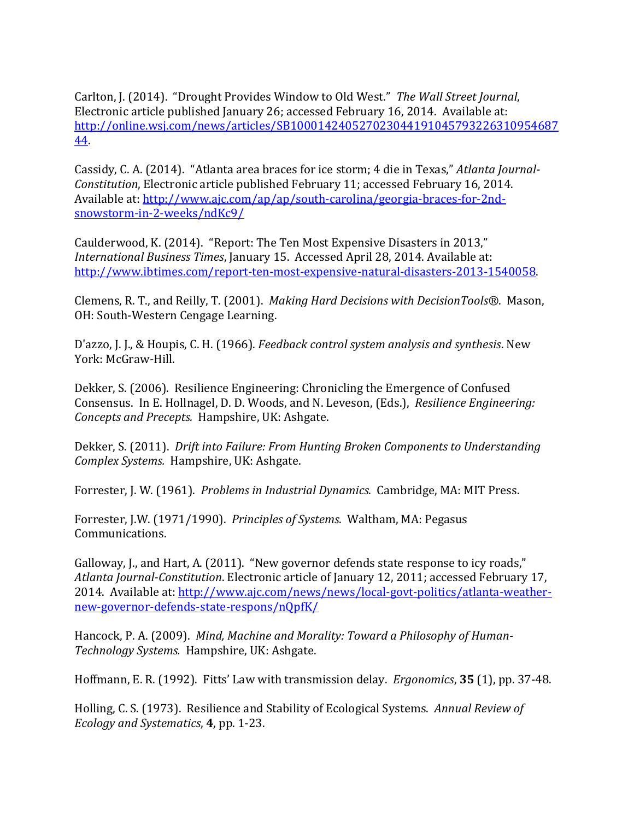Carlton, J. (2014). "Drought Provides Window to Old West." *The Wall Street Journal*, Electronic article published January 26; accessed February 16, 2014. Available at: [http://online.wsj.com/news/articles/SB100014240527023044191045793226310954687](http://online.wsj.com/news/articles/SB10001424052702304419104579322631095468744)  [44.](http://online.wsj.com/news/articles/SB10001424052702304419104579322631095468744) 

Constitution, Electronic article published February 11; accessed February 16, 2014. Cassidy, C. A. (2014). "Atlanta area braces for ice storm; 4 die in Texas," *Atlanta Journal*Available at: [http://www.ajc.com/ap/ap/south-carolina/georgia-braces-for-2nd](http://www.ajc.com/ap/ap/south-carolina/georgia-braces-for-2nd-snowstorm-in-2-weeks/ndKc9/)[snowstorm-in-2-weeks/ndKc9/](http://www.ajc.com/ap/ap/south-carolina/georgia-braces-for-2nd-snowstorm-in-2-weeks/ndKc9/) 

Caulderwood, K. (2014). "Report: The Ten Most Expensive Disasters in 2013," *International Business Times*, January 15. Accessed April 28, 2014. Available at: [http://www.ibtimes.com/report-ten-most-expensive-natural-disasters-2013-1540058.](http://www.ibtimes.com/report-ten-most-expensive-natural-disasters-2013-1540058)

Clemens, R. T., and Reilly, T. (2001). *Making Hard Decisions with DecisionTools®*. Mason, OH: South-Western Cengage Learning.

D'azzo, J. J., & Houpis, C. H. (1966). *Feedback control system analysis and synthesis*. New York: McGraw-Hill.

 Consensus. In E. Hollnagel, D. D. Woods, and N. Leveson, (Eds.), *Resilience Engineering: Concepts and Precepts.* Hampshire, UK: Ashgate. Dekker, S. (2006). Resilience Engineering: Chronicling the Emergence of Confused

 Dekker, S. (2011). *Drift into Failure: From Hunting Broken Components to Understanding Complex Systems.* Hampshire, UK: Ashgate.

Forrester, J. W. (1961). *Problems in Industrial Dynamics.* Cambridge, MA: MIT Press.

 Forrester, J.W. (1971/1990). *Principles of Systems*. Waltham, MA: Pegasus Communications.

Galloway, J., and Hart, A. (2011). "New governor defends state response to icy roads," *Atlanta Journal-Constitution*. Electronic article of January 12, 2011; accessed February 17, 2014. Available at: [http://www.ajc.com/news/news/local-govt-politics/atlanta-weather](http://www.ajc.com/news/news/local-govt-politics/atlanta-weather-new-governor-defends-state-respons/nQpfK/)[new-governor-defends-state-respons/nQpfK/](http://www.ajc.com/news/news/local-govt-politics/atlanta-weather-new-governor-defends-state-respons/nQpfK/) 

 Hancock, P. A. (2009). *Mind, Machine and Morality: Toward a Philosophy of Human-Technology Systems.* Hampshire, UK: Ashgate.

Hoffmann, E. R. (1992). Fitts' Law with transmission delay. *Ergonomics*, **35** (1), pp. 37-48.

 Holling, C. S. (1973). Resilience and Stability of Ecological Systems. *Annual Review of Ecology and Systematics*, **4**, pp. 1-23.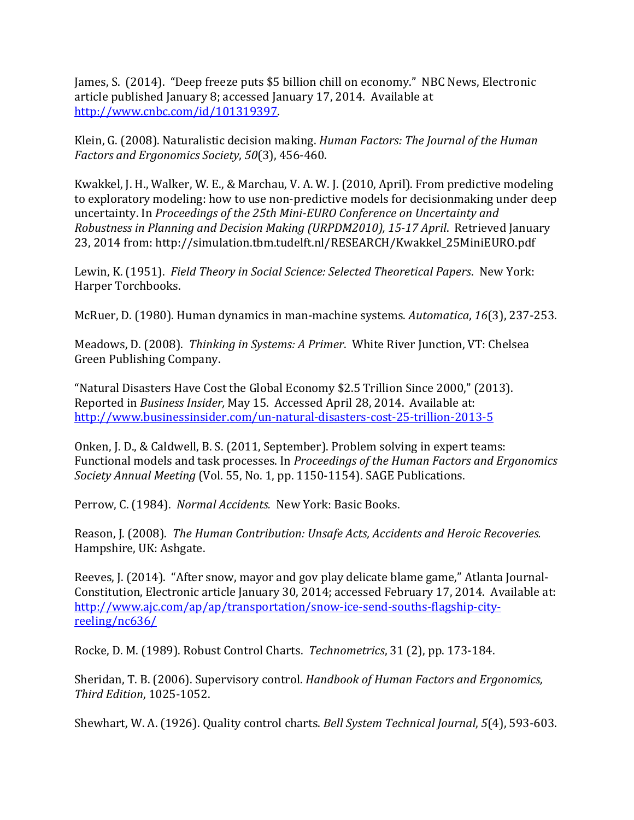James, S. (2014). "Deep freeze puts \$5 billion chill on economy." NBC News, Electronic article published January 8; accessed January 17, 2014. Available at [http://www.cnbc.com/id/101319397.](http://www.cnbc.com/id/101319397)

Klein, G. (2008). Naturalistic decision making. *Human Factors: The Journal of the Human Factors and Ergonomics Society*, *50*(3), 456-460.

 to exploratory modeling: how to use non-predictive models for decisionmaking under deep *Robustness in Planning and Decision Making (URPDM2010), 15-17 April*. Retrieved January Kwakkel, J. H., Walker, W. E., & Marchau, V. A. W. J. (2010, April). From predictive modeling uncertainty. In *Proceedings of the 25th Mini-EURO Conference on Uncertainty and*  23, 2014 from: [http://simulation.tbm.tudelft.nl/RESEARCH/Kwakkel\\_25MiniEURO.pdf](http://simulation.tbm.tudelft.nl/RESEARCH/Kwakkel_25MiniEURO.pdf)

 Lewin, K. (1951). *Field Theory in Social Science: Selected Theoretical Papers*. New York: Harper Torchbooks.

McRuer, D. (1980). Human dynamics in man-machine systems. *Automatica*, *16*(3), 237-253.

 Meadows, D. (2008). *Thinking in Systems: A Primer*. White River Junction, VT: Chelsea Green Publishing Company.

"Natural Disasters Have Cost the Global Economy \$2.5 Trillion Since 2000," (2013). Reported in *Business Insider*, May 15. Accessed April 28, 2014. Available at: <http://www.businessinsider.com/un-natural-disasters-cost-25-trillion-2013-5>

Onken, J. D., & Caldwell, B. S. (2011, September). Problem solving in expert teams: Functional models and task processes. In *Proceedings of the Human Factors and Ergonomics Society Annual Meeting* (Vol. 55, No. 1, pp. 1150-1154). SAGE Publications.

Perrow, C. (1984). *Normal Accidents.* New York: Basic Books.

 Reason, J. (2008). *The Human Contribution: Unsafe Acts, Accidents and Heroic Recoveries.*  Hampshire, UK: Ashgate.

 Reeves, J. (2014). "After snow, mayor and gov play delicate blame game," Atlanta Journal-Constitution, Electronic article January 30, 2014; accessed February 17, 2014. Available at: http://www.ajc.com/ap/ap/transportation/snow-ice-send-souths-flagship-city[reeling/nc636/](http://www.ajc.com/ap/ap/transportation/snow-ice-send-souths-flagship-city-reeling/nc636/) 

Rocke, D. M. (1989). Robust Control Charts. *Technometrics*, 31 (2), pp. 173-184.

Sheridan, T. B. (2006). Supervisory control. *Handbook of Human Factors and Ergonomics, Third Edition*, 1025-1052.

Shewhart, W. A. (1926). Quality control charts. *Bell System Technical Journal*, *5*(4), 593-603.